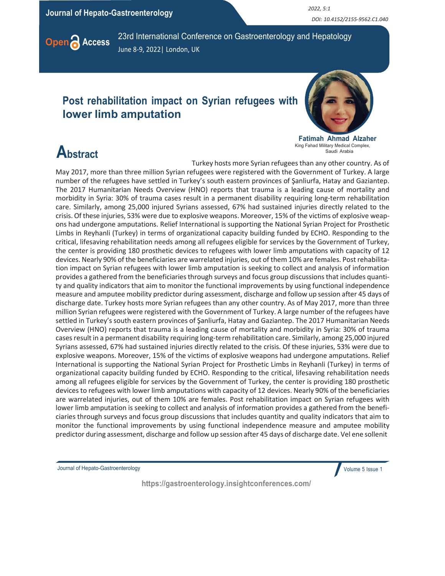Journal of Hepato-Gastroenterology 2022, 5:1

DOI: 10.4152/2155-9562.C1.040



**Open Access** 23rd International Conference on Gastroenterology and Hepatology June 8-9, 2022| London, UK

## Post rehabilitation impact on Syrian refugees with lower limb amputation



Fatimah Ahmad Alzaher King Fahad Military Medical Complex, Saudi Arabia

## **Abstract**

Turkey hosts more Syrian refugees than any other country. As of May 2017, more than three million Syrian refugees were registered with the Government of Turkey. A large number of the refugees have settled in Turkey's south eastern provinces of Şanliurfa, Hatay and Gaziantep. The 2017 Humanitarian Needs Overview (HNO) reports that trauma is a leading cause of mortality and morbidity in Syria: 30% of trauma cases result in a permanent disability requiring long-term rehabilitation care. Similarly, among 25,000 injured Syrians assessed, 67% had sustained injuries directly related to the crisis. Of these injuries, 53% were due to explosive weapons. Moreover, 15% of the victims of explosive weapons had undergone amputations. Relief International is supporting the National Syrian Project for Prosthetic Limbs in Reyhanli (Turkey) in terms of organizational capacity building funded by ECHO. Responding to the critical, lifesaving rehabilitation needs among all refugees eligible for services by the Government of Turkey, the center is providing 180 prosthetic devices to refugees with lower limb amputations with capacity of 12 devices. Nearly 90% of the beneficiaries are warrelated injuries, out of them 10% are females. Post rehabilitation impact on Syrian refugees with lower limb amputation is seeking to collect and analysis of information provides a gathered from the beneficiaries through surveys and focus group discussions that includes quantity and quality indicators that aim to monitor the functional improvements by using functional independence measure and amputee mobility predictor during assessment, discharge and follow up session after 45 days of discharge date. Turkey hosts more Syrian refugees than any other country. As of May 2017, more than three million Syrian refugees were registered with the Government of Turkey. A large number of the refugees have settled in Turkey's south eastern provinces of Şanliurfa, Hatay and Gaziantep. The 2017 Humanitarian Needs Overview (HNO) reports that trauma is a leading cause of mortality and morbidity in Syria: 30% of trauma cases result in a permanent disability requiring long-term rehabilitation care. Similarly, among 25,000 injured Syrians assessed, 67% had sustained injuries directly related to the crisis. Of these injuries, 53% were due to explosive weapons. Moreover, 15% of the victims of explosive weapons had undergone amputations. Relief International is supporting the National Syrian Project for Prosthetic Limbs in Reyhanli (Turkey) in terms of organizational capacity building funded by ECHO. Responding to the critical, lifesaving rehabilitation needs among all refugees eligible for services by the Government of Turkey, the center is providing 180 prosthetic devices to refugees with lower limb amputations with capacity of 12 devices. Nearly 90% of the beneficiaries are warrelated injuries, out of them 10% are females. Post rehabilitation impact on Syrian refugees with lower limb amputation is seeking to collect and analysis of information provides a gathered from the beneficiaries through surveys and focus group discussions that includes quantity and quality indicators that aim to monitor the functional improvements by using functional independence measure and amputee mobility predictor during assessment, discharge and follow up session after 45 days of discharge date. Vel ene sollenit

Journal of Hepato-Gastroenterology

Volume 5 Issue 1

https://gastroenterology.insightconferences.com/